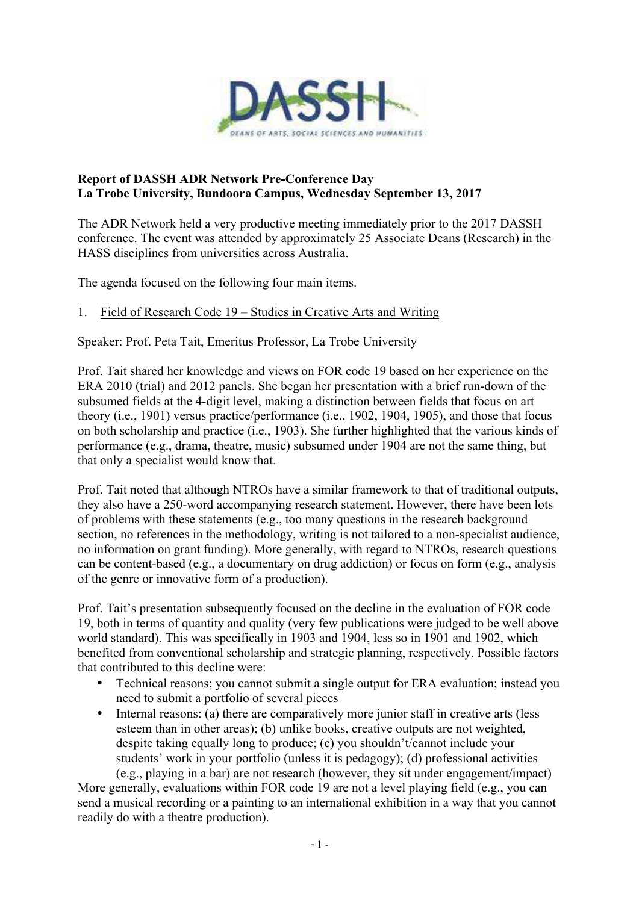

### **Report of DASSH ADR Network Pre-Conference Day La Trobe University, Bundoora Campus, Wednesday September 13, 2017**

The ADR Network held a very productive meeting immediately prior to the 2017 DASSH conference. The event was attended by approximately 25 Associate Deans (Research) in the HASS disciplines from universities across Australia.

The agenda focused on the following four main items.

### 1. Field of Research Code 19 – Studies in Creative Arts and Writing

Speaker: Prof. Peta Tait, Emeritus Professor, La Trobe University

Prof. Tait shared her knowledge and views on FOR code 19 based on her experience on the ERA 2010 (trial) and 2012 panels. She began her presentation with a brief run-down of the subsumed fields at the 4-digit level, making a distinction between fields that focus on art theory (i.e., 1901) versus practice/performance (i.e., 1902, 1904, 1905), and those that focus on both scholarship and practice (i.e., 1903). She further highlighted that the various kinds of performance (e.g., drama, theatre, music) subsumed under 1904 are not the same thing, but that only a specialist would know that.

Prof. Tait noted that although NTROs have a similar framework to that of traditional outputs, they also have a 250-word accompanying research statement. However, there have been lots of problems with these statements (e.g., too many questions in the research background section, no references in the methodology, writing is not tailored to a non-specialist audience, no information on grant funding). More generally, with regard to NTROs, research questions can be content-based (e.g., a documentary on drug addiction) or focus on form (e.g., analysis of the genre or innovative form of a production).

Prof. Tait's presentation subsequently focused on the decline in the evaluation of FOR code 19, both in terms of quantity and quality (very few publications were judged to be well above world standard). This was specifically in 1903 and 1904, less so in 1901 and 1902, which benefited from conventional scholarship and strategic planning, respectively. Possible factors that contributed to this decline were:

- Technical reasons; you cannot submit a single output for ERA evaluation; instead you need to submit a portfolio of several pieces
- Internal reasons: (a) there are comparatively more junior staff in creative arts (less esteem than in other areas); (b) unlike books, creative outputs are not weighted, despite taking equally long to produce; (c) you shouldn't/cannot include your students' work in your portfolio (unless it is pedagogy); (d) professional activities (e.g., playing in a bar) are not research (however, they sit under engagement/impact)

More generally, evaluations within FOR code 19 are not a level playing field (e.g., you can send a musical recording or a painting to an international exhibition in a way that you cannot readily do with a theatre production).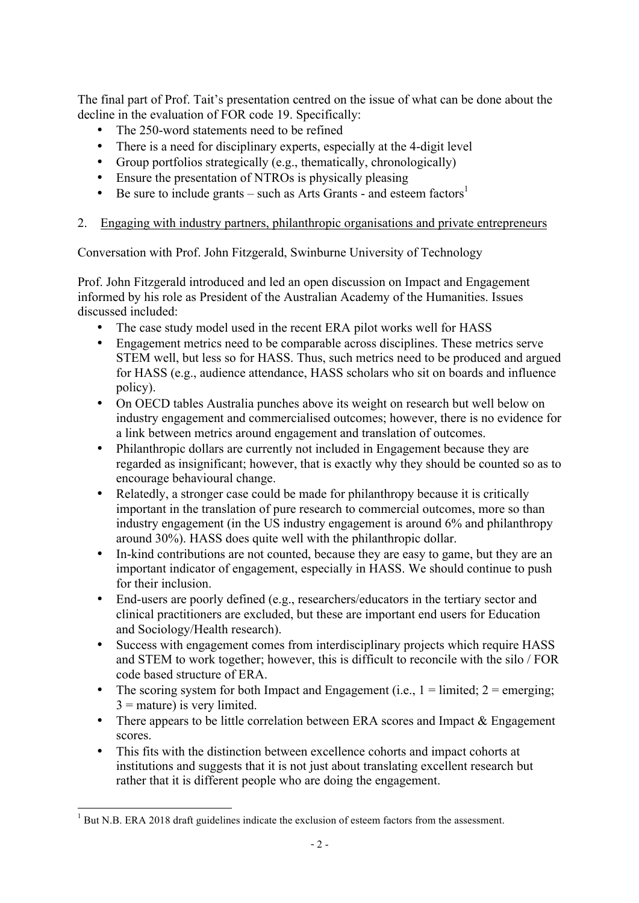The final part of Prof. Tait's presentation centred on the issue of what can be done about the decline in the evaluation of FOR code 19. Specifically:

- The 250-word statements need to be refined
- There is a need for disciplinary experts, especially at the 4-digit level
- Group portfolios strategically (e.g., thematically, chronologically)
- Ensure the presentation of NTROs is physically pleasing
- Be sure to include grants such as Arts Grants and esteem factors<sup>1</sup>

## 2. Engaging with industry partners, philanthropic organisations and private entrepreneurs

Conversation with Prof. John Fitzgerald, Swinburne University of Technology

Prof. John Fitzgerald introduced and led an open discussion on Impact and Engagement informed by his role as President of the Australian Academy of the Humanities. Issues discussed included:

- The case study model used in the recent ERA pilot works well for HASS
- Engagement metrics need to be comparable across disciplines. These metrics serve STEM well, but less so for HASS. Thus, such metrics need to be produced and argued for HASS (e.g., audience attendance, HASS scholars who sit on boards and influence policy).
- On OECD tables Australia punches above its weight on research but well below on industry engagement and commercialised outcomes; however, there is no evidence for a link between metrics around engagement and translation of outcomes.
- Philanthropic dollars are currently not included in Engagement because they are regarded as insignificant; however, that is exactly why they should be counted so as to encourage behavioural change.
- Relatedly, a stronger case could be made for philanthropy because it is critically important in the translation of pure research to commercial outcomes, more so than industry engagement (in the US industry engagement is around 6% and philanthropy around 30%). HASS does quite well with the philanthropic dollar.
- In-kind contributions are not counted, because they are easy to game, but they are an important indicator of engagement, especially in HASS. We should continue to push for their inclusion.
- End-users are poorly defined (e.g., researchers/educators in the tertiary sector and clinical practitioners are excluded, but these are important end users for Education and Sociology/Health research).
- Success with engagement comes from interdisciplinary projects which require HASS and STEM to work together; however, this is difficult to reconcile with the silo / FOR code based structure of ERA.
- The scoring system for both Impact and Engagement (i.e.,  $1 =$  limited;  $2 =$  emerging;  $3 =$  mature) is very limited.
- There appears to be little correlation between ERA scores and Impact & Engagement scores.
- This fits with the distinction between excellence cohorts and impact cohorts at institutions and suggests that it is not just about translating excellent research but rather that it is different people who are doing the engagement.

<u> 1989 - Johann Stoff, fransk politik (d. 1989)</u>

<sup>&</sup>lt;sup>1</sup> But N.B. ERA 2018 draft guidelines indicate the exclusion of esteem factors from the assessment.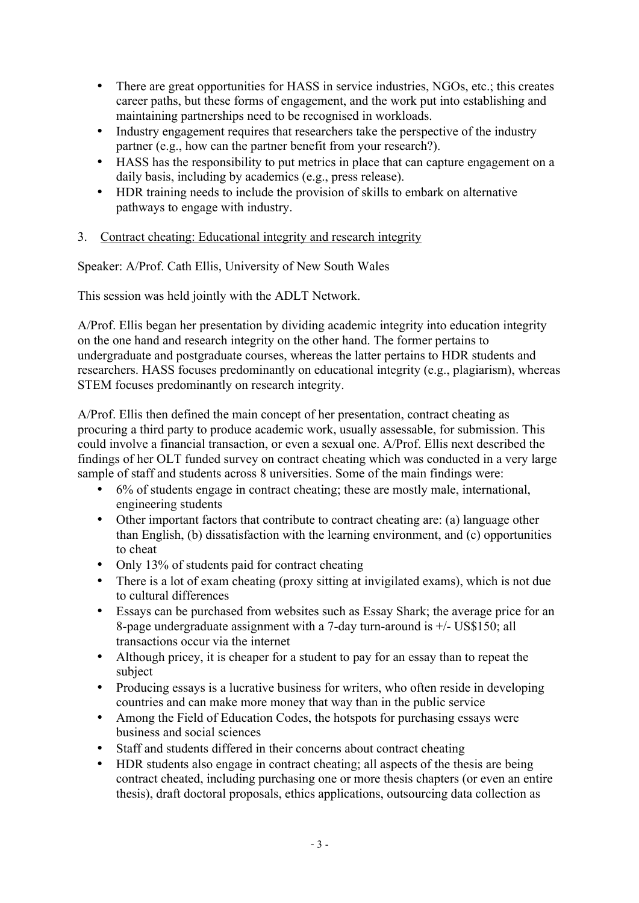- There are great opportunities for HASS in service industries, NGOs, etc.; this creates career paths, but these forms of engagement, and the work put into establishing and maintaining partnerships need to be recognised in workloads.
- Industry engagement requires that researchers take the perspective of the industry partner (e.g., how can the partner benefit from your research?).
- HASS has the responsibility to put metrics in place that can capture engagement on a daily basis, including by academics (e.g., press release).
- HDR training needs to include the provision of skills to embark on alternative pathways to engage with industry.
- 3. Contract cheating: Educational integrity and research integrity

Speaker: A/Prof. Cath Ellis, University of New South Wales

This session was held jointly with the ADLT Network.

A/Prof. Ellis began her presentation by dividing academic integrity into education integrity on the one hand and research integrity on the other hand. The former pertains to undergraduate and postgraduate courses, whereas the latter pertains to HDR students and researchers. HASS focuses predominantly on educational integrity (e.g., plagiarism), whereas STEM focuses predominantly on research integrity.

A/Prof. Ellis then defined the main concept of her presentation, contract cheating as procuring a third party to produce academic work, usually assessable, for submission. This could involve a financial transaction, or even a sexual one. A/Prof. Ellis next described the findings of her OLT funded survey on contract cheating which was conducted in a very large sample of staff and students across 8 universities. Some of the main findings were:

- 6% of students engage in contract cheating; these are mostly male, international, engineering students
- Other important factors that contribute to contract cheating are: (a) language other than English, (b) dissatisfaction with the learning environment, and (c) opportunities to cheat
- Only 13% of students paid for contract cheating
- There is a lot of exam cheating (proxy sitting at invigilated exams), which is not due to cultural differences
- Essays can be purchased from websites such as Essay Shark; the average price for an 8-page undergraduate assignment with a 7-day turn-around is +/- US\$150; all transactions occur via the internet
- Although pricey, it is cheaper for a student to pay for an essay than to repeat the subject
- Producing essays is a lucrative business for writers, who often reside in developing countries and can make more money that way than in the public service
- Among the Field of Education Codes, the hotspots for purchasing essays were business and social sciences
- Staff and students differed in their concerns about contract cheating
- HDR students also engage in contract cheating; all aspects of the thesis are being contract cheated, including purchasing one or more thesis chapters (or even an entire thesis), draft doctoral proposals, ethics applications, outsourcing data collection as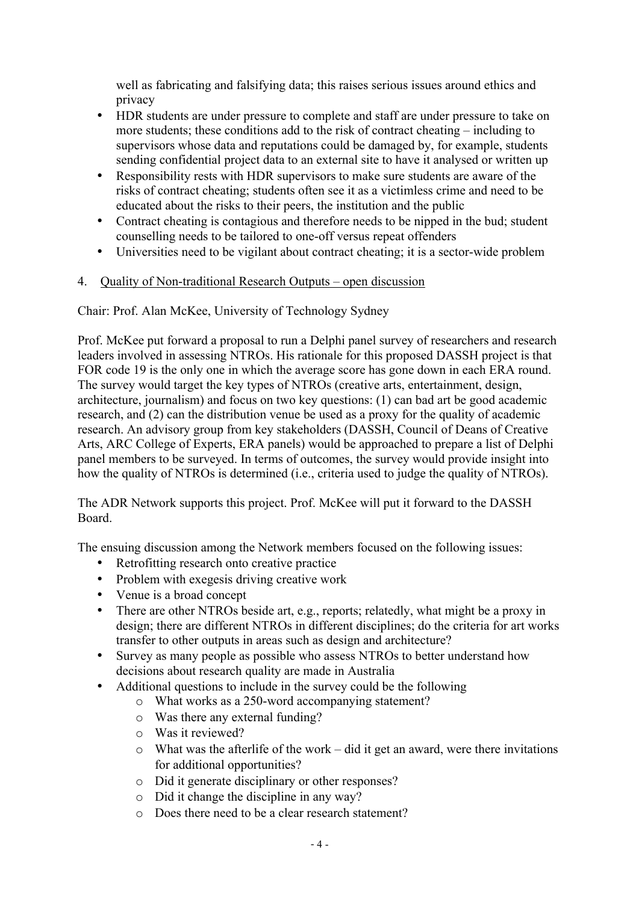well as fabricating and falsifying data; this raises serious issues around ethics and privacy

- HDR students are under pressure to complete and staff are under pressure to take on more students; these conditions add to the risk of contract cheating – including to supervisors whose data and reputations could be damaged by, for example, students sending confidential project data to an external site to have it analysed or written up
- Responsibility rests with HDR supervisors to make sure students are aware of the risks of contract cheating; students often see it as a victimless crime and need to be educated about the risks to their peers, the institution and the public
- Contract cheating is contagious and therefore needs to be nipped in the bud; student counselling needs to be tailored to one-off versus repeat offenders
- Universities need to be vigilant about contract cheating; it is a sector-wide problem

# 4. Quality of Non-traditional Research Outputs – open discussion

Chair: Prof. Alan McKee, University of Technology Sydney

Prof. McKee put forward a proposal to run a Delphi panel survey of researchers and research leaders involved in assessing NTROs. His rationale for this proposed DASSH project is that FOR code 19 is the only one in which the average score has gone down in each ERA round. The survey would target the key types of NTROs (creative arts, entertainment, design, architecture, journalism) and focus on two key questions: (1) can bad art be good academic research, and (2) can the distribution venue be used as a proxy for the quality of academic research. An advisory group from key stakeholders (DASSH, Council of Deans of Creative Arts, ARC College of Experts, ERA panels) would be approached to prepare a list of Delphi panel members to be surveyed. In terms of outcomes, the survey would provide insight into how the quality of NTROs is determined (i.e., criteria used to judge the quality of NTROs).

The ADR Network supports this project. Prof. McKee will put it forward to the DASSH Board.

The ensuing discussion among the Network members focused on the following issues:

- Retrofitting research onto creative practice
- Problem with exegesis driving creative work
- Venue is a broad concept
- There are other NTROs beside art, e.g., reports; relatedly, what might be a proxy in design; there are different NTROs in different disciplines; do the criteria for art works transfer to other outputs in areas such as design and architecture?
- Survey as many people as possible who assess NTROs to better understand how decisions about research quality are made in Australia
- Additional questions to include in the survey could be the following
	- o What works as a 250-word accompanying statement?
	- o Was there any external funding?
	- o Was it reviewed?
	- o What was the afterlife of the work did it get an award, were there invitations for additional opportunities?
	- o Did it generate disciplinary or other responses?
	- o Did it change the discipline in any way?
	- o Does there need to be a clear research statement?